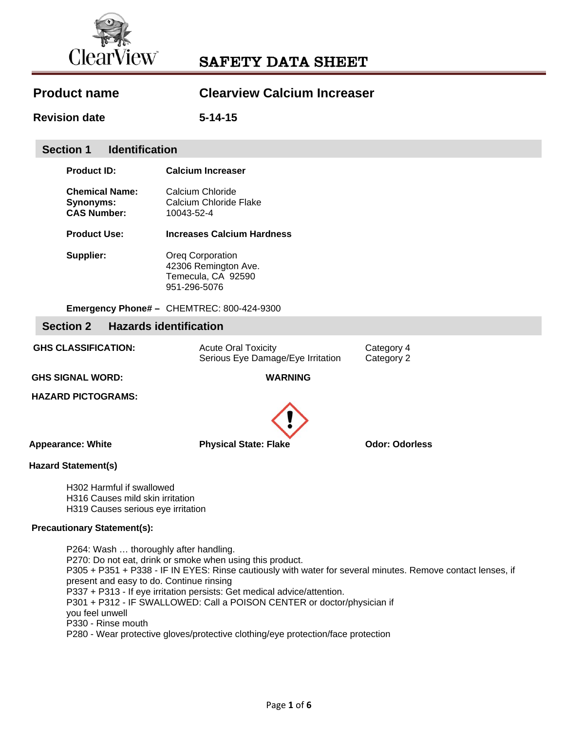

| <b>Product name</b> | <b>Clearview Calcium Increaser</b> |
|---------------------|------------------------------------|
|                     |                                    |

**Revision date 5-14-15** 

### **Section 1 Identification**

| <b>Product ID:</b>    | <b>Calcium Increaser</b>          |
|-----------------------|-----------------------------------|
| <b>Chemical Name:</b> | Calcium Chloride                  |
| Synonyms:             | Calcium Chloride Flake            |
| <b>CAS Number:</b>    | 10043-52-4                        |
| <b>Product Use:</b>   | <b>Increases Calcium Hardness</b> |

**Supplier: Oreg Corporation** 42306 Remington Ave. Temecula, CA 92590 951-296-5076

**Emergency Phone# –** CHEMTREC: 800-424-9300

### **Section 2 Hazards identification**

GHS CLASSIFICATION: **Acute Oral Toxicity** Category 4 Serious Eye Damage/Eye Irritation Category 2

 **GHS SIGNAL WORD: WARNING** 

 **HAZARD PICTOGRAMS:** 



 **Appearance: White Physical State: Flake Odor: Odorless** 

# **Hazard Statement(s)**

H302 Harmful if swallowed H316 Causes mild skin irritation H319 Causes serious eye irritation

#### **Precautionary Statement(s):**

P264: Wash … thoroughly after handling. P270: Do not eat, drink or smoke when using this product. P305 + P351 + P338 - IF IN EYES: Rinse cautiously with water for several minutes. Remove contact lenses, if present and easy to do. Continue rinsing P337 + P313 - If eye irritation persists: Get medical advice/attention. P301 + P312 - IF SWALLOWED: Call a POISON CENTER or doctor/physician if you feel unwell P330 - Rinse mouth P280 - Wear protective gloves/protective clothing/eye protection/face protection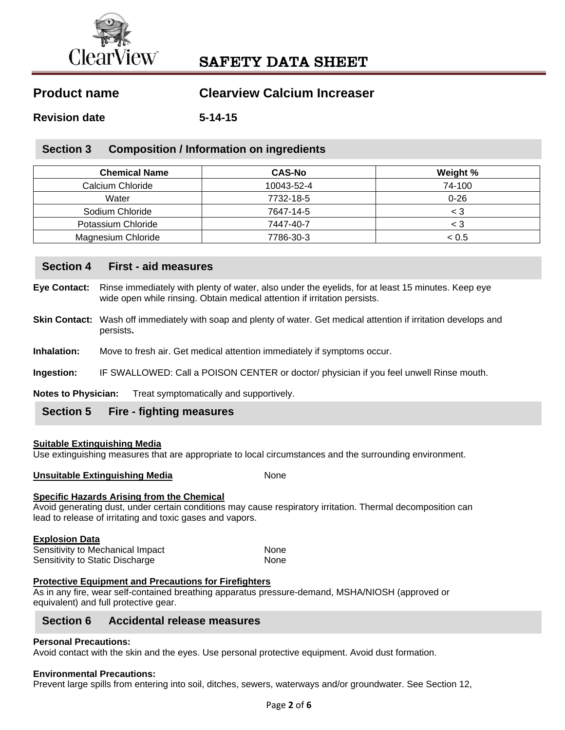

# **Product name Clearview Calcium Increaser**

**Revision date 5-14-15** 

## **Section 3 Composition / Information on ingredients**

| <b>Chemical Name</b>      | <b>CAS-No</b> | Weight % |
|---------------------------|---------------|----------|
| Calcium Chloride          | 10043-52-4    | 74-100   |
| Water                     | 7732-18-5     | $0 - 26$ |
| Sodium Chloride           | 7647-14-5     | < 3      |
| Potassium Chloride        | 7447-40-7     | < 3      |
| <b>Magnesium Chloride</b> | 7786-30-3     | < 0.5    |

### **Section 4 First - aid measures**

- **Eye Contact:** Rinse immediately with plenty of water, also under the eyelids, for at least 15 minutes. Keep eye wide open while rinsing. Obtain medical attention if irritation persists.
- **Skin Contact:** Wash off immediately with soap and plenty of water. Get medical attention if irritation develops and persists**.**
- **Inhalation:** Move to fresh air. Get medical attention immediately if symptoms occur.
- **Ingestion:** IF SWALLOWED: Call a POISON CENTER or doctor/ physician if you feel unwell Rinse mouth.

**Notes to Physician:** Treat symptomatically and supportively.

### **Section 5 Fire - fighting measures**

#### **Suitable Extinguishing Media**

Use extinguishing measures that are appropriate to local circumstances and the surrounding environment.

**Unsuitable Extinguishing Media None** 

### **Specific Hazards Arising from the Chemical**

Avoid generating dust, under certain conditions may cause respiratory irritation. Thermal decomposition can lead to release of irritating and toxic gases and vapors.

#### **Explosion Data**

| Sensitivity to Mechanical Impact | None        |
|----------------------------------|-------------|
| Sensitivity to Static Discharge  | <b>None</b> |

### **Protective Equipment and Precautions for Firefighters**

As in any fire, wear self-contained breathing apparatus pressure-demand, MSHA/NIOSH (approved or equivalent) and full protective gear.

### **Section 6 Accidental release measures**

#### **Personal Precautions:**

Avoid contact with the skin and the eyes. Use personal protective equipment. Avoid dust formation.

#### **Environmental Precautions:**

Prevent large spills from entering into soil, ditches, sewers, waterways and/or groundwater. See Section 12,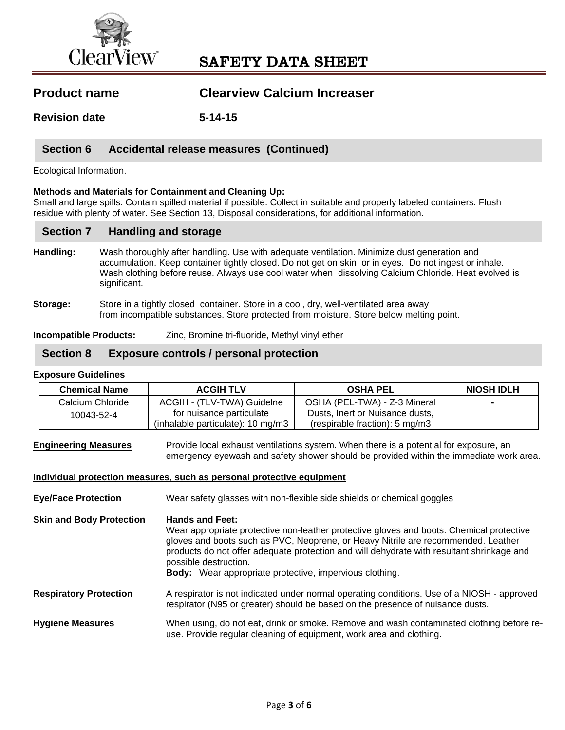

| <b>Product name</b> | <b>Clearview Calcium Increaser</b> |
|---------------------|------------------------------------|
|                     |                                    |

**Revision date 5-14-15** 

## **Section 6 Accidental release measures (Continued)**

Ecological Information.

#### **Methods and Materials for Containment and Cleaning Up:**

Small and large spills: Contain spilled material if possible. Collect in suitable and properly labeled containers. Flush residue with plenty of water. See Section 13, Disposal considerations, for additional information.

### **Section 7 Handling and storage**

- **Handling:** Wash thoroughly after handling. Use with adequate ventilation. Minimize dust generation and accumulation. Keep container tightly closed. Do not get on skin or in eyes. Do not ingest or inhale. Wash clothing before reuse. Always use cool water when dissolving Calcium Chloride. Heat evolved is significant.
- **Storage:** Store in a tightly closed container. Store in a cool, dry, well-ventilated area away from incompatible substances. Store protected from moisture. Store below melting point.

**Incompatible Products:** Zinc, Bromine tri-fluoride, Methyl vinyl ether

### **Section 8 Exposure controls / personal protection**

#### **Exposure Guidelines**

| <b>Chemical Name</b> | <b>ACGIH TLV</b>                    | <b>OSHA PEL</b>                           | <b>NIOSH IDLH</b> |
|----------------------|-------------------------------------|-------------------------------------------|-------------------|
| Calcium Chloride     | ACGIH - (TLV-TWA) Guidelne          | OSHA (PEL-TWA) - Z-3 Mineral              |                   |
| 10043-52-4           | for nuisance particulate            | Dusts, Inert or Nuisance dusts,           |                   |
|                      | $(inhalable$ particulate): 10 mg/m3 | (respirable fraction): $5 \text{ mg/m}$ 3 |                   |

#### **Engineering Measures** Provide local exhaust ventilations system. When there is a potential for exposure, an emergency eyewash and safety shower should be provided within the immediate work area.

#### **Individual protection measures, such as personal protective equipment**

**Eye/Face Protection** Wear safety glasses with non-flexible side shields or chemical goggles

- **Skin and Body Protection Hands and Feet:**  Wear appropriate protective non-leather protective gloves and boots. Chemical protective gloves and boots such as PVC, Neoprene, or Heavy Nitrile are recommended. Leather products do not offer adequate protection and will dehydrate with resultant shrinkage and possible destruction.  **Body:** Wear appropriate protective, impervious clothing.
- **Respiratory Protection** A respirator is not indicated under normal operating conditions. Use of a NIOSH approved respirator (N95 or greater) should be based on the presence of nuisance dusts.
- **Hygiene Measures** When using, do not eat, drink or smoke. Remove and wash contaminated clothing before reuse. Provide regular cleaning of equipment, work area and clothing.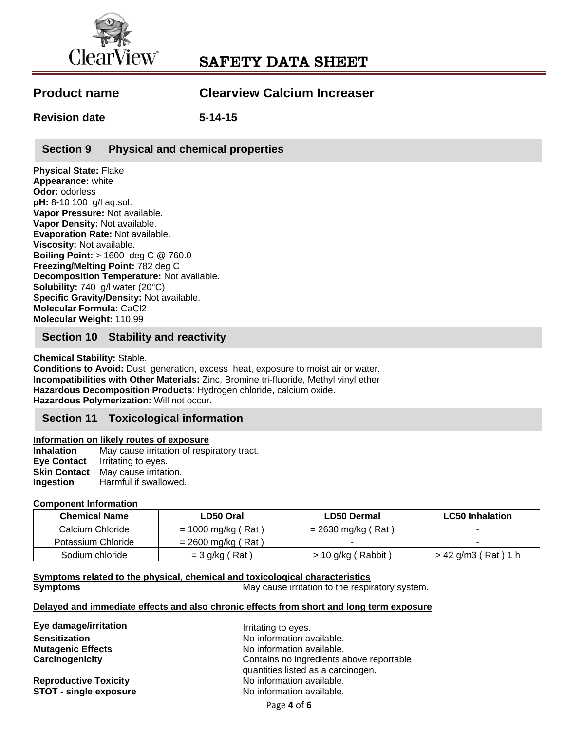

| <b>Product name</b> | <b>Clearview Calcium Increaser</b> |
|---------------------|------------------------------------|
|---------------------|------------------------------------|

**Revision date 5-14-15** 

# **Section 9 Physical and chemical properties**

**Physical State:** Flake **Appearance:** white **Odor:** odorless **pH:** 8-10 100 g/l aq.sol. **Vapor Pressure:** Not available. **Vapor Density:** Not available. **Evaporation Rate:** Not available. **Viscosity:** Not available. **Boiling Point:** > 1600 deg C @ 760.0 **Freezing/Melting Point:** 782 deg C **Decomposition Temperature:** Not available. **Solubility:** 740 g/l water (20°C) **Specific Gravity/Density:** Not available. **Molecular Formula:** CaCl2 **Molecular Weight:** 110.99

# **Section 10 Stability and reactivity**

**Chemical Stability:** Stable.

**Conditions to Avoid:** Dust generation, excess heat, exposure to moist air or water. **Incompatibilities with Other Materials:** Zinc, Bromine tri-fluoride, Methyl vinyl ether **Hazardous Decomposition Products**: Hydrogen chloride, calcium oxide. **Hazardous Polymerization:** Will not occur.

# **Section 11 Toxicological information**

### **Information on likely routes of exposure**

**Inhalation** May cause irritation of respiratory tract. **Eye Contact** Irritating to eyes. **Skin Contact** May cause irritation. **Ingestion** Harmful if swallowed.

### **Component Information**

| <b>Chemical Name</b> | LD50 Oral            | <b>LD50 Dermal</b>     | <b>LC50</b> Inhalation     |
|----------------------|----------------------|------------------------|----------------------------|
| Calcium Chloride     | $= 1000$ mg/kg (Rat) | $= 2630$ mg/kg (Rat)   |                            |
| Potassium Chloride   | $= 2600$ mg/kg (Rat) |                        | $\sim$                     |
| Sodium chloride      | $=$ 3 g/kg (Rat)     | $>$ 10 g/kg ( Rabbit ) | ′ Rat ) 1 h<br>> 42 g/m3 ( |

**Symptoms related to the physical, chemical and toxicological characteristics** 

**Symptoms Symptoms May cause irritation to the respiratory system.** 

#### **Delayed and immediate effects and also chronic effects from short and long term exposure**

**Eye damage/irritation IFF Example 20 and SE 100 and Tritating to eyes.** 

**Reproductive Toxicity No information available. STOT - single exposure No information available.** 

**Sensitization Sensitization No information available. Mutagenic Effects No information available. Carcinogenicity** Contains no ingredients above reportable quantities listed as a carcinogen.

Page **4** of **6**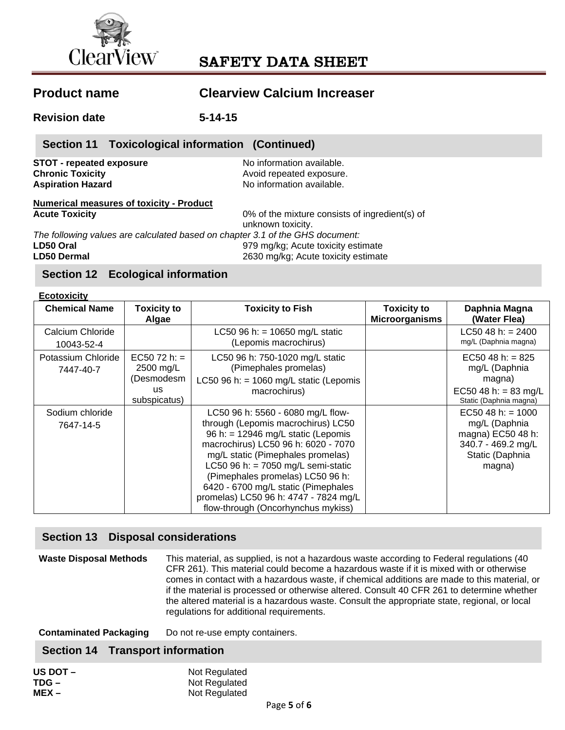

# **Product name Clearview Calcium Increaser Revision date 5-14-15 STOT - repeated exposure and information available.**<br> **Chronic Toxicity Chronic Toxicity Chronic Toxicity Chronic Toxicity**<br> **Avoid repeated exposure.**<br> **Aspiration Hazard Aspiration Available.**<br> **Aspiration Hazard Available. Aspiration Hazard** No information available. **Numerical measures of toxicity - Product Acute Toxicity** 0% of the mixture consists of ingredient(s) of unknown toxicity. *The following values are calculated based on chapter 3.1 of the GHS document:*  **LD50 Oral** 979 mg/kg; Acute toxicity estimate **LD50 Dermal** 2630 mg/kg; Acute toxicity estimate **Section 11 Toxicological information (Continued)**

# **Section 12 Ecological information**

**Ecotoxicity** 

| ECOTOXICITY                     |                                                                       |                                                                                                                                                                                                                                                                                                                                                                                               |                                             |                                                                                                              |
|---------------------------------|-----------------------------------------------------------------------|-----------------------------------------------------------------------------------------------------------------------------------------------------------------------------------------------------------------------------------------------------------------------------------------------------------------------------------------------------------------------------------------------|---------------------------------------------|--------------------------------------------------------------------------------------------------------------|
| <b>Chemical Name</b>            | <b>Toxicity to</b><br>Algae                                           | <b>Toxicity to Fish</b>                                                                                                                                                                                                                                                                                                                                                                       | <b>Toxicity to</b><br><b>Microorganisms</b> | Daphnia Magna<br>(Water Flea)                                                                                |
| Calcium Chloride<br>10043-52-4  |                                                                       | LC50 96 h: = $10650$ mg/L static<br>(Lepomis macrochirus)                                                                                                                                                                                                                                                                                                                                     |                                             | LC50 48 h: $= 2400$<br>mg/L (Daphnia magna)                                                                  |
| Potassium Chloride<br>7447-40-7 | $EC5072 h: =$<br>2500 mg/L<br>(Desmodesm<br><b>us</b><br>subspicatus) | LC50 96 h: 750-1020 mg/L static<br>(Pimephales promelas)<br>LC50 96 h: = $1060$ mg/L static (Lepomis<br>macrochirus)                                                                                                                                                                                                                                                                          |                                             | $EC50$ 48 h: = 825<br>mg/L (Daphnia<br>magna)<br>EC50 48 h: = 83 mg/L<br>Static (Daphnia magna)              |
| Sodium chloride<br>7647-14-5    |                                                                       | LC50 96 h: 5560 - 6080 mg/L flow-<br>through (Lepomis macrochirus) LC50<br>96 h: = $12946$ mg/L static (Lepomis<br>macrochirus) LC50 96 h: 6020 - 7070<br>mg/L static (Pimephales promelas)<br>LC50 96 h: = $7050$ mg/L semi-static<br>(Pimephales promelas) LC50 96 h:<br>6420 - 6700 mg/L static (Pimephales<br>promelas) LC50 96 h: 4747 - 7824 mg/L<br>flow-through (Oncorhynchus mykiss) |                                             | EC50 48 h: $= 1000$<br>mg/L (Daphnia<br>magna) EC50 48 h:<br>340.7 - 469.2 mg/L<br>Static (Daphnia<br>magna) |

# **Section 13 Disposal considerations**

**Waste Disposal Methods** This material, as supplied, is not a hazardous waste according to Federal regulations (40 CFR 261). This material could become a hazardous waste if it is mixed with or otherwise comes in contact with a hazardous waste, if chemical additions are made to this material, or if the material is processed or otherwise altered. Consult 40 CFR 261 to determine whether the altered material is a hazardous waste. Consult the appropriate state, regional, or local regulations for additional requirements.

**Contaminated Packaging** Do not re-use empty containers.

### **Section 14 Transport information**

| US DOT - | Not Regulated |
|----------|---------------|
| TDG -    | Not Regulated |
| MEX –    | Not Regulated |